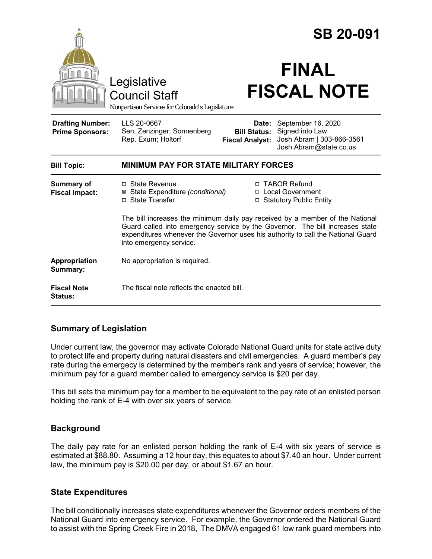|                                                   |                                                                                                                                                                                                                                                                               |                                                        | <b>SB 20-091</b>                                                                             |
|---------------------------------------------------|-------------------------------------------------------------------------------------------------------------------------------------------------------------------------------------------------------------------------------------------------------------------------------|--------------------------------------------------------|----------------------------------------------------------------------------------------------|
|                                                   | Legislative<br><b>Council Staff</b><br>Nonpartisan Services for Colorado's Legislature                                                                                                                                                                                        |                                                        | <b>FINAL</b><br><b>FISCAL NOTE</b>                                                           |
| <b>Drafting Number:</b><br><b>Prime Sponsors:</b> | LLS 20-0667<br>Sen. Zenzinger; Sonnenberg<br>Rep. Exum; Holtorf                                                                                                                                                                                                               | Date:<br><b>Bill Status:</b><br><b>Fiscal Analyst:</b> | September 16, 2020<br>Signed into Law<br>Josh Abram   303-866-3561<br>Josh.Abram@state.co.us |
| <b>Bill Topic:</b>                                | <b>MINIMUM PAY FOR STATE MILITARY FORCES</b>                                                                                                                                                                                                                                  |                                                        |                                                                                              |
| <b>Summary of</b><br><b>Fiscal Impact:</b>        | $\Box$ State Revenue<br>⊠ State Expenditure (conditional)<br>□ State Transfer                                                                                                                                                                                                 |                                                        | □ TABOR Refund<br>□ Local Government<br>□ Statutory Public Entity                            |
|                                                   | The bill increases the minimum daily pay received by a member of the National<br>Guard called into emergency service by the Governor. The bill increases state<br>expenditures whenever the Governor uses his authority to call the National Guard<br>into emergency service. |                                                        |                                                                                              |
| Appropriation<br>Summary:                         | No appropriation is required.                                                                                                                                                                                                                                                 |                                                        |                                                                                              |
| <b>Fiscal Note</b><br><b>Status:</b>              | The fiscal note reflects the enacted bill.                                                                                                                                                                                                                                    |                                                        |                                                                                              |

# **Summary of Legislation**

Under current law, the governor may activate Colorado National Guard units for state active duty to protect life and property during natural disasters and civil emergencies. A guard member's pay rate during the emergecy is determined by the member's rank and years of service; however, the minimum pay for a guard member called to emergency service is \$20 per day.

This bill sets the minimum pay for a member to be equivalent to the pay rate of an enlisted person holding the rank of E-4 with over six years of service.

### **Background**

The daily pay rate for an enlisted person holding the rank of E-4 with six years of service is estimated at \$88.80. Assuming a 12 hour day, this equates to about \$7.40 an hour. Under current law, the minimum pay is \$20.00 per day, or about \$1.67 an hour.

### **State Expenditures**

The bill conditionally increases state expenditures whenever the Governor orders members of the National Guard into emergency service. For example, the Governor ordered the National Guard to assist with the Spring Creek Fire in 2018, The DMVA engaged 61 low rank guard members into